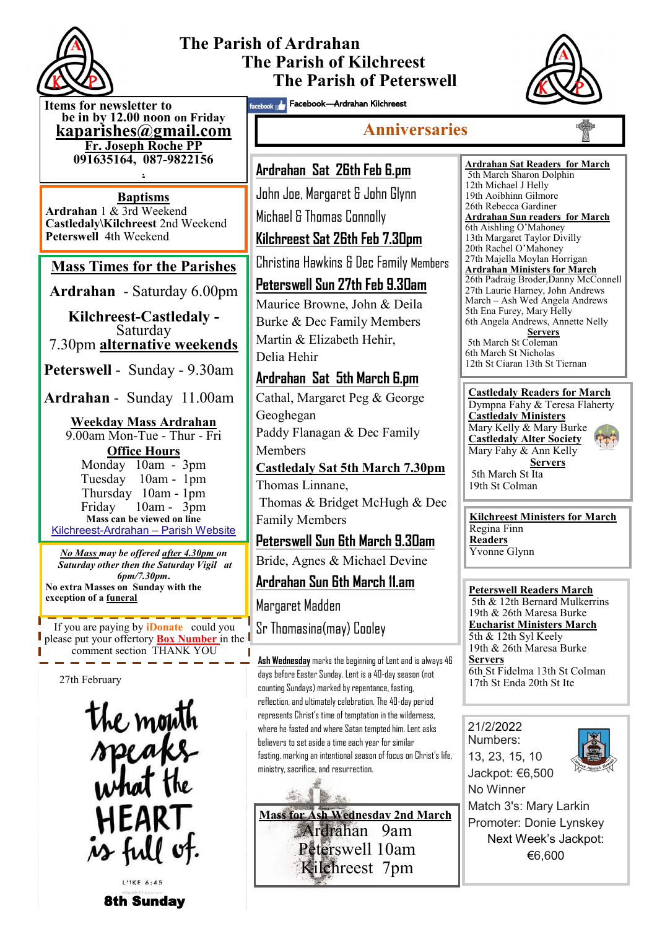

# **The Parish of Ardrahan The Parish of Kilchreest The Parish of Peterswell**



**Items for newsletter to be in by 12.00 noon on Friday [kaparishes@gmail.com](mailto:kaparish@gmail.com) Fr. Joseph Roche PP 091635164, 087-9822156** 

**.**

**Baptisms Ardrahan** 1 & 3rd Weekend **Castledaly\Kilchreest** 2nd Weekend **Peterswell** 4th Weekend

## **Mass Times for the Parishes**

**Ardrahan** - Saturday 6.00pm

**Kilchreest-Castledaly -**  Saturday 7.30pm **alternative weekends**

**Peterswell** - Sunday - 9.30am

**Ardrahan** - Sunday 11.00am

#### **Weekday Mass Ardrahan**

9.00am Mon-Tue - Thur - Fri **Office Hours**  Monday 10am - 3pm Tuesday 10am - 1pm Thursday 10am - 1pm Friday 10am - 3pm **Mass can be viewed on line**  Kilchreest-Ardrahan – Parish Website

*No Mass may be offered after 4.30pm on Saturday other then the Saturday Vigil at 6pm/7.30pm***. No extra Masses on Sunday with the exception of a funeral**

If you are paying by **iDonate** could you **I** Sr Thomasina(may) Cooley please put your offertory **Box Number** in the comment section THANK YOU

27th February



8th Sunday

facebook **Araban Kilchreest** 

# **Anniversaries**

#### **Ardrahan Sat 26th Feb 6.pm**

John Joe, Margaret & John Glynn Michael & Thomas Connolly

### **Kilchreest Sat 26th Feb 7.30pm**

Christina Hawkins & Dec Family Members

# **Peterswell Sun 27th Feb 9.30am**

Maurice Browne, John & Deila Burke & Dec Family Members Martin & Elizabeth Hehir, Delia Hehir

#### **Ardrahan Sat 5th March 6.pm**

Cathal, Margaret Peg & George Geoghegan Paddy Flanagan & Dec Family

Members

**Castledaly Sat 5th March 7.30pm** Thomas Linnane,

Thomas & Bridget McHugh & Dec Family Members

#### **Peterswell Sun 6th March 9.30am**

Bride, Agnes & Michael Devine

#### **Ardrahan Sun 6th March 11.am**

Margaret Madden

**[Ash Wednesday](https://www.christianity.com/church/church-life/what-is-ash-wednesday-why-do-christians-celebrate-it.html)** marks the beginning of Lentand is [always 46](https://www.crosswalk.com/special-coverage/lent/when-is-ash-wednesday-this-year.html)  [days before Easter Sunday.](https://www.crosswalk.com/special-coverage/lent/when-is-ash-wednesday-this-year.html) Lent is a 40-day season (not counting Sundays) marked by repentance, fasting, reflection, and ultimately celebration. The 40-day period represents Christ's time of temptation in the wilderness, where he fasted and where Satan tempted him. Lent asks believers to set aside a time each year for similar fasting, marking an intentional season of focus on Christ's life, ministry, sacrifice, and resurrection.

**Mass for Ash Wednesday 2nd March** Ardrahan 9am Peterswell 10am Kilchreest 7pm

**Ardrahan Sat Readers for March**  5th March Sharon Dolphin 12th Michael J Helly 19th Aoibhinn Gilmore 26th Rebecca Gardiner **Ardrahan Sun readers for March** 6th Aishling O'Mahoney 13th Margaret Taylor Divilly 20th Rachel O'Mahoney 27th Majella Moylan Horrigan **Ardrahan Ministers for March** 26th Padraig Broder, Danny McConnell 27th Laurie Harney, John Andrews March – Ash Wed Angela Andrews 5th Ena Furey, Mary Helly 6th Angela Andrews, Annette Nelly

**Servers** 5th March St Coleman 6th March St Nicholas 12th St Ciaran 13th St Tiernan

**Castledaly Readers for March** Dympna Fahy & Teresa Flaherty **Castledaly Ministers** Mary Kelly & Mary Burke **Castledaly Alter Society** Mary Fahy & Ann Kelly **Servers**

5th March St Ita 19th St Colman

**Kilchreest Ministers for March** Regina Finn **Readers** Yvonne Glynn

**Peterswell Readers March** 5th & 12th Bernard Mulkerrins 19th & 26th Maresa Burke **Eucharist Ministers March** 5th & 12th Syl Keely 19th & 26th Maresa Burke **Servers** 6th St Fidelma 13th St Colman 17th St Enda 20th St Ite

#### 21/2/2022 Numbers:

13, 23, 15, 10 Jackpot: €6,500



No Winner Match 3's: Mary Larkin Promoter: Donie Lynskey Next Week's Jackpot: €6,600